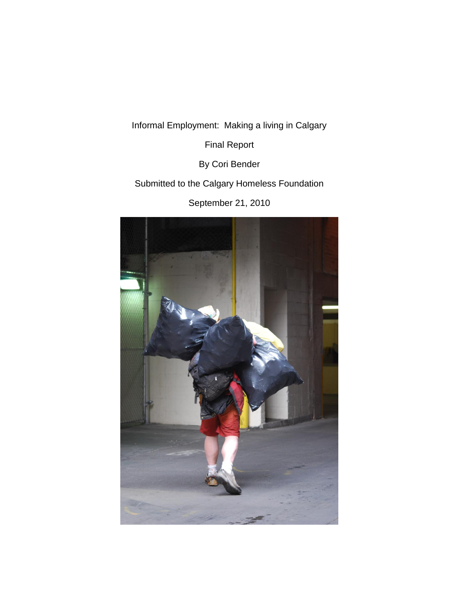Informal Employment: Making a living in Calgary

Final Report

By Cori Bender

Submitted to the Calgary Homeless Foundation

September 21, 2010

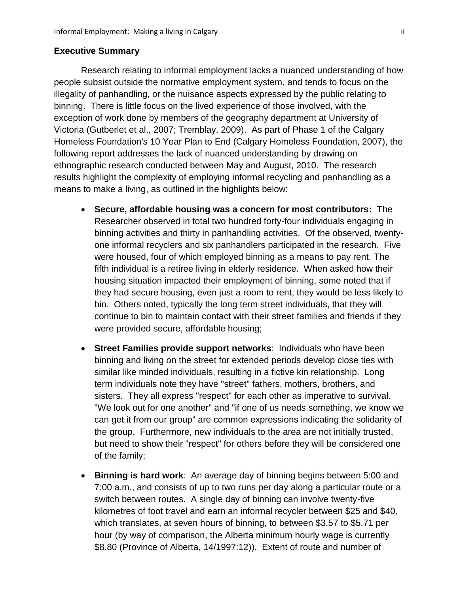### **Executive Summary**

Research relating to informal employment lacks a nuanced understanding of how people subsist outside the normative employment system, and tends to focus on the illegality of panhandling, or the nuisance aspects expressed by the public relating to binning. There is little focus on the lived experience of those involved, with the exception of work done by members of the geography department at University of Victoria (Gutberlet et al., 2007; Tremblay, 2009). As part of Phase 1 of the Calgary Homeless Foundation's 10 Year Plan to End (Calgary Homeless Foundation, 2007), the following report addresses the lack of nuanced understanding by drawing on ethnographic research conducted between May and August, 2010. The research results highlight the complexity of employing informal recycling and panhandling as a means to make a living, as outlined in the highlights below:

- **Secure, affordable housing was a concern for most contributors:** The Researcher observed in total two hundred forty-four individuals engaging in binning activities and thirty in panhandling activities. Of the observed, twentyone informal recyclers and six panhandlers participated in the research. Five were housed, four of which employed binning as a means to pay rent. The fifth individual is a retiree living in elderly residence. When asked how their housing situation impacted their employment of binning, some noted that if they had secure housing, even just a room to rent, they would be less likely to bin. Others noted, typically the long term street individuals, that they will continue to bin to maintain contact with their street families and friends if they were provided secure, affordable housing;
- **Street Families provide support networks**: Individuals who have been binning and living on the street for extended periods develop close ties with similar like minded individuals, resulting in a fictive kin relationship. Long term individuals note they have "street" fathers, mothers, brothers, and sisters. They all express "respect" for each other as imperative to survival. "We look out for one another" and "if one of us needs something, we know we can get it from our group" are common expressions indicating the solidarity of the group. Furthermore, new individuals to the area are not initially trusted, but need to show their "respect" for others before they will be considered one of the family;
- **Binning is hard work**: An average day of binning begins between 5:00 and 7:00 a.m., and consists of up to two runs per day along a particular route or a switch between routes. A single day of binning can involve twenty-five kilometres of foot travel and earn an informal recycler between \$25 and \$40, which translates, at seven hours of binning, to between \$3.57 to \$5.71 per hour (by way of comparison, the Alberta minimum hourly wage is currently \$8.80 (Province of Alberta, 14/1997:12)). Extent of route and number of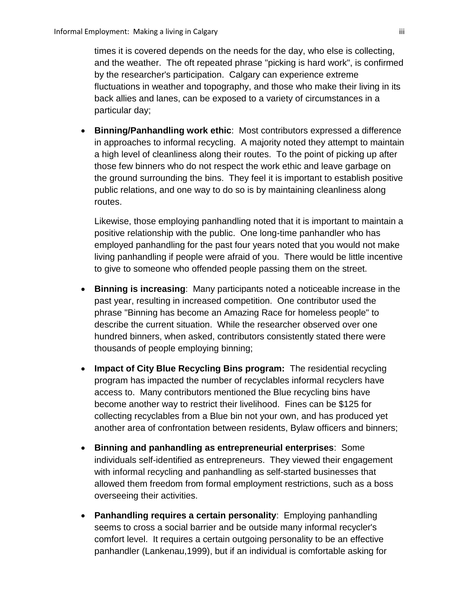times it is covered depends on the needs for the day, who else is collecting, and the weather. The oft repeated phrase "picking is hard work", is confirmed by the researcher's participation. Calgary can experience extreme fluctuations in weather and topography, and those who make their living in its back allies and lanes, can be exposed to a variety of circumstances in a particular day;

 **Binning/Panhandling work ethic**: Most contributors expressed a difference in approaches to informal recycling. A majority noted they attempt to maintain a high level of cleanliness along their routes. To the point of picking up after those few binners who do not respect the work ethic and leave garbage on the ground surrounding the bins. They feel it is important to establish positive public relations, and one way to do so is by maintaining cleanliness along routes.

Likewise, those employing panhandling noted that it is important to maintain a positive relationship with the public. One long-time panhandler who has employed panhandling for the past four years noted that you would not make living panhandling if people were afraid of you. There would be little incentive to give to someone who offended people passing them on the street.

- **Binning is increasing**: Many participants noted a noticeable increase in the past year, resulting in increased competition. One contributor used the phrase "Binning has become an Amazing Race for homeless people" to describe the current situation. While the researcher observed over one hundred binners, when asked, contributors consistently stated there were thousands of people employing binning;
- **Impact of City Blue Recycling Bins program:** The residential recycling program has impacted the number of recyclables informal recyclers have access to. Many contributors mentioned the Blue recycling bins have become another way to restrict their livelihood. Fines can be \$125 for collecting recyclables from a Blue bin not your own, and has produced yet another area of confrontation between residents, Bylaw officers and binners;
- **Binning and panhandling as entrepreneurial enterprises**: Some individuals self-identified as entrepreneurs. They viewed their engagement with informal recycling and panhandling as self-started businesses that allowed them freedom from formal employment restrictions, such as a boss overseeing their activities.
- **Panhandling requires a certain personality**: Employing panhandling seems to cross a social barrier and be outside many informal recycler's comfort level. It requires a certain outgoing personality to be an effective panhandler (Lankenau,1999), but if an individual is comfortable asking for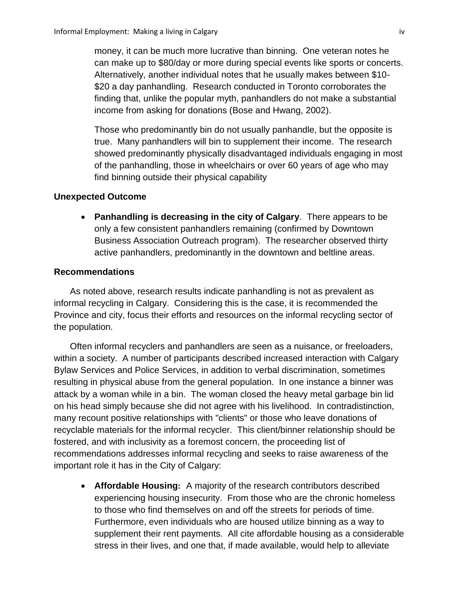money, it can be much more lucrative than binning. One veteran notes he can make up to \$80/day or more during special events like sports or concerts. Alternatively, another individual notes that he usually makes between \$10- \$20 a day panhandling. Research conducted in Toronto corroborates the finding that, unlike the popular myth, panhandlers do not make a substantial income from asking for donations (Bose and Hwang, 2002).

Those who predominantly bin do not usually panhandle, but the opposite is true. Many panhandlers will bin to supplement their income. The research showed predominantly physically disadvantaged individuals engaging in most of the panhandling, those in wheelchairs or over 60 years of age who may find binning outside their physical capability

### **Unexpected Outcome**

 **Panhandling is decreasing in the city of Calgary**. There appears to be only a few consistent panhandlers remaining (confirmed by Downtown Business Association Outreach program). The researcher observed thirty active panhandlers, predominantly in the downtown and beltline areas.

### **Recommendations**

As noted above, research results indicate panhandling is not as prevalent as informal recycling in Calgary. Considering this is the case, it is recommended the Province and city, focus their efforts and resources on the informal recycling sector of the population.

Often informal recyclers and panhandlers are seen as a nuisance, or freeloaders, within a society. A number of participants described increased interaction with Calgary Bylaw Services and Police Services, in addition to verbal discrimination, sometimes resulting in physical abuse from the general population. In one instance a binner was attack by a woman while in a bin. The woman closed the heavy metal garbage bin lid on his head simply because she did not agree with his livelihood. In contradistinction, many recount positive relationships with "clients" or those who leave donations of recyclable materials for the informal recycler. This client/binner relationship should be fostered, and with inclusivity as a foremost concern, the proceeding list of recommendations addresses informal recycling and seeks to raise awareness of the important role it has in the City of Calgary:

**• Affordable Housing:** A majority of the research contributors described experiencing housing insecurity. From those who are the chronic homeless to those who find themselves on and off the streets for periods of time. Furthermore, even individuals who are housed utilize binning as a way to supplement their rent payments. All cite affordable housing as a considerable stress in their lives, and one that, if made available, would help to alleviate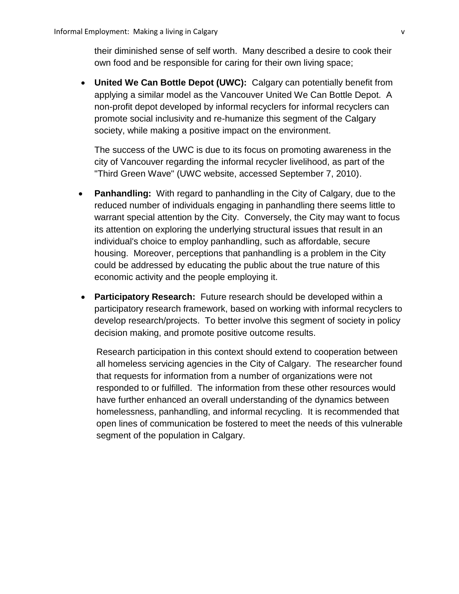their diminished sense of self worth. Many described a desire to cook their own food and be responsible for caring for their own living space;

 **United We Can Bottle Depot (UWC):** Calgary can potentially benefit from applying a similar model as the Vancouver United We Can Bottle Depot. A non-profit depot developed by informal recyclers for informal recyclers can promote social inclusivity and re-humanize this segment of the Calgary society, while making a positive impact on the environment.

The success of the UWC is due to its focus on promoting awareness in the city of Vancouver regarding the informal recycler livelihood, as part of the "Third Green Wave" (UWC website, accessed September 7, 2010).

- **Panhandling:** With regard to panhandling in the City of Calgary, due to the reduced number of individuals engaging in panhandling there seems little to warrant special attention by the City. Conversely, the City may want to focus its attention on exploring the underlying structural issues that result in an individual's choice to employ panhandling, such as affordable, secure housing. Moreover, perceptions that panhandling is a problem in the City could be addressed by educating the public about the true nature of this economic activity and the people employing it.
- **Participatory Research:** Future research should be developed within a participatory research framework, based on working with informal recyclers to develop research/projects. To better involve this segment of society in policy decision making, and promote positive outcome results.

Research participation in this context should extend to cooperation between all homeless servicing agencies in the City of Calgary. The researcher found that requests for information from a number of organizations were not responded to or fulfilled. The information from these other resources would have further enhanced an overall understanding of the dynamics between homelessness, panhandling, and informal recycling. It is recommended that open lines of communication be fostered to meet the needs of this vulnerable segment of the population in Calgary.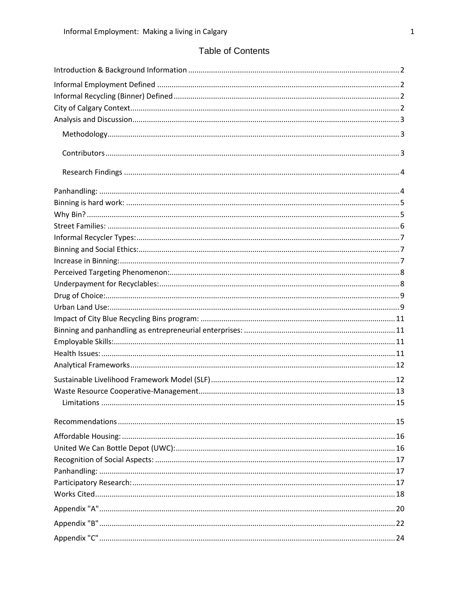# **Table of Contents**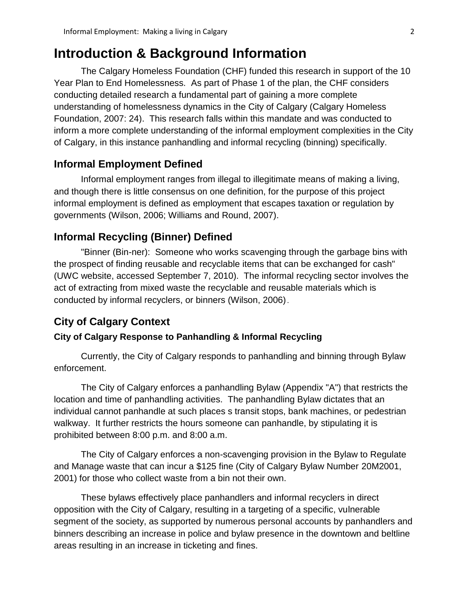# <span id="page-6-0"></span>**Introduction & Background Information**

The Calgary Homeless Foundation (CHF) funded this research in support of the 10 Year Plan to End Homelessness. As part of Phase 1 of the plan, the CHF considers conducting detailed research a fundamental part of gaining a more complete understanding of homelessness dynamics in the City of Calgary (Calgary Homeless Foundation, 2007: 24). This research falls within this mandate and was conducted to inform a more complete understanding of the informal employment complexities in the City of Calgary, in this instance panhandling and informal recycling (binning) specifically.

# <span id="page-6-1"></span>**Informal Employment Defined**

Informal employment ranges from illegal to illegitimate means of making a living, and though there is little consensus on one definition, for the purpose of this project informal employment is defined as employment that escapes taxation or regulation by governments (Wilson, 2006; Williams and Round, 2007).

# <span id="page-6-2"></span>**Informal Recycling (Binner) Defined**

"Binner (Bin-ner): Someone who works scavenging through the garbage bins with the prospect of finding reusable and recyclable items that can be exchanged for cash" (UWC website, accessed September 7, 2010). The informal recycling sector involves the act of extracting from mixed waste the recyclable and reusable materials which is conducted by informal recyclers, or binners (Wilson, 2006).

### <span id="page-6-3"></span>**City of Calgary Context**

### **City of Calgary Response to Panhandling & Informal Recycling**

Currently, the City of Calgary responds to panhandling and binning through Bylaw enforcement.

The City of Calgary enforces a panhandling Bylaw (Appendix "A") that restricts the location and time of panhandling activities. The panhandling Bylaw dictates that an individual cannot panhandle at such places s transit stops, bank machines, or pedestrian walkway. It further restricts the hours someone can panhandle, by stipulating it is prohibited between 8:00 p.m. and 8:00 a.m.

The City of Calgary enforces a non-scavenging provision in the Bylaw to Regulate and Manage waste that can incur a \$125 fine (City of Calgary Bylaw Number 20M2001, 2001) for those who collect waste from a bin not their own.

These bylaws effectively place panhandlers and informal recyclers in direct opposition with the City of Calgary, resulting in a targeting of a specific, vulnerable segment of the society, as supported by numerous personal accounts by panhandlers and binners describing an increase in police and bylaw presence in the downtown and beltline areas resulting in an increase in ticketing and fines.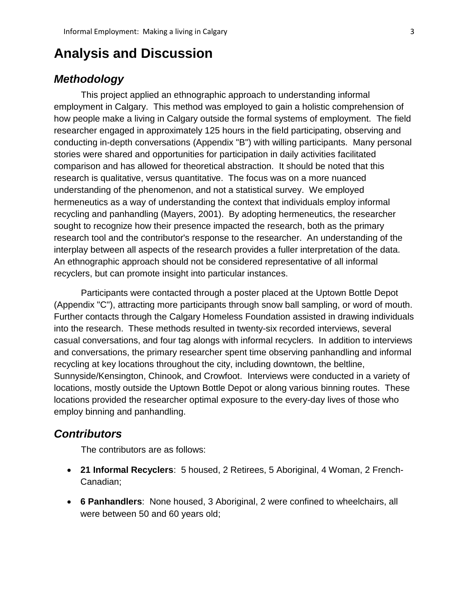# <span id="page-7-0"></span>**Analysis and Discussion**

# <span id="page-7-1"></span>*Methodology*

This project applied an ethnographic approach to understanding informal employment in Calgary. This method was employed to gain a holistic comprehension of how people make a living in Calgary outside the formal systems of employment. The field researcher engaged in approximately 125 hours in the field participating, observing and conducting in-depth conversations (Appendix "B") with willing participants. Many personal stories were shared and opportunities for participation in daily activities facilitated comparison and has allowed for theoretical abstraction. It should be noted that this research is qualitative, versus quantitative. The focus was on a more nuanced understanding of the phenomenon, and not a statistical survey. We employed hermeneutics as a way of understanding the context that individuals employ informal recycling and panhandling (Mayers, 2001). By adopting hermeneutics, the researcher sought to recognize how their presence impacted the research, both as the primary research tool and the contributor's response to the researcher. An understanding of the interplay between all aspects of the research provides a fuller interpretation of the data. An ethnographic approach should not be considered representative of all informal recyclers, but can promote insight into particular instances.

Participants were contacted through a poster placed at the Uptown Bottle Depot (Appendix "C"), attracting more participants through snow ball sampling, or word of mouth. Further contacts through the Calgary Homeless Foundation assisted in drawing individuals into the research. These methods resulted in twenty-six recorded interviews, several casual conversations, and four tag alongs with informal recyclers. In addition to interviews and conversations, the primary researcher spent time observing panhandling and informal recycling at key locations throughout the city, including downtown, the beltline, Sunnyside/Kensington, Chinook, and Crowfoot. Interviews were conducted in a variety of locations, mostly outside the Uptown Bottle Depot or along various binning routes. These locations provided the researcher optimal exposure to the every-day lives of those who employ binning and panhandling.

## <span id="page-7-2"></span>*Contributors*

The contributors are as follows:

- **21 Informal Recyclers**: 5 housed, 2 Retirees, 5 Aboriginal, 4 Woman, 2 French-Canadian;
- **6 Panhandlers**: None housed, 3 Aboriginal, 2 were confined to wheelchairs, all were between 50 and 60 years old;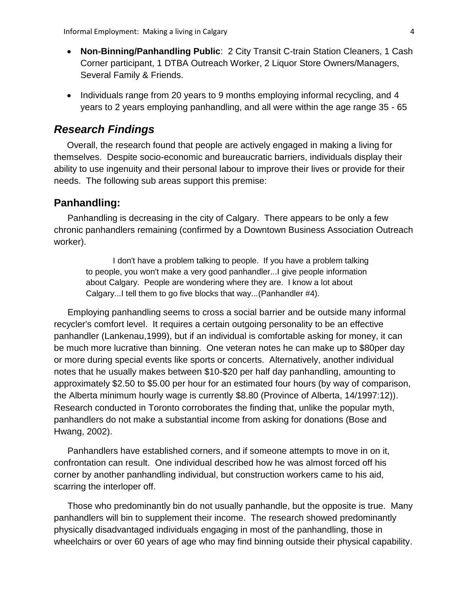- **Non-Binning/Panhandling Public**: 2 City Transit C-train Station Cleaners, 1 Cash Corner participant, 1 DTBA Outreach Worker, 2 Liquor Store Owners/Managers, Several Family & Friends.
- Individuals range from 20 years to 9 months employing informal recycling, and 4 years to 2 years employing panhandling, and all were within the age range 35 - 65

# <span id="page-8-0"></span>*Research Findings*

Overall, the research found that people are actively engaged in making a living for themselves. Despite socio-economic and bureaucratic barriers, individuals display their ability to use ingenuity and their personal labour to improve their lives or provide for their needs. The following sub areas support this premise:

## <span id="page-8-1"></span>**Panhandling:**

Panhandling is decreasing in the city of Calgary. There appears to be only a few chronic panhandlers remaining (confirmed by a Downtown Business Association Outreach worker).

I don't have a problem talking to people. If you have a problem talking to people, you won't make a very good panhandler...I give people information about Calgary. People are wondering where they are. I know a lot about Calgary...I tell them to go five blocks that way...(Panhandler #4).

Employing panhandling seems to cross a social barrier and be outside many informal recycler's comfort level. It requires a certain outgoing personality to be an effective panhandler (Lankenau,1999), but if an individual is comfortable asking for money, it can be much more lucrative than binning. One veteran notes he can make up to \$80per day or more during special events like sports or concerts. Alternatively, another individual notes that he usually makes between \$10-\$20 per half day panhandling, amounting to approximately \$2.50 to \$5.00 per hour for an estimated four hours (by way of comparison, the Alberta minimum hourly wage is currently \$8.80 (Province of Alberta, 14/1997:12)). Research conducted in Toronto corroborates the finding that, unlike the popular myth, panhandlers do not make a substantial income from asking for donations (Bose and Hwang, 2002).

Panhandlers have established corners, and if someone attempts to move in on it, confrontation can result. One individual described how he was almost forced off his corner by another panhandling individual, but construction workers came to his aid, scarring the interloper off.

Those who predominantly bin do not usually panhandle, but the opposite is true. Many panhandlers will bin to supplement their income. The research showed predominantly physically disadvantaged individuals engaging in most of the panhandling, those in wheelchairs or over 60 years of age who may find binning outside their physical capability.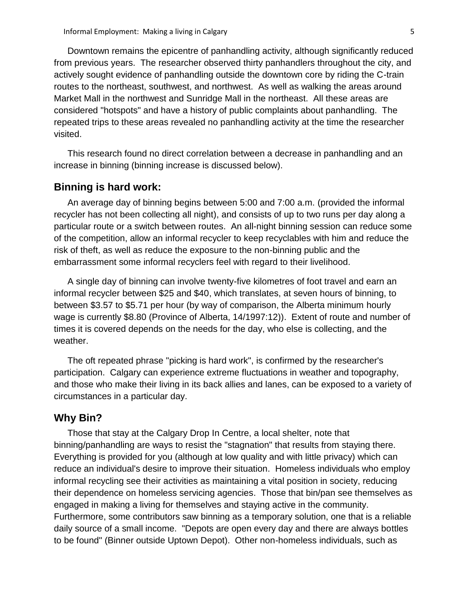Downtown remains the epicentre of panhandling activity, although significantly reduced from previous years. The researcher observed thirty panhandlers throughout the city, and actively sought evidence of panhandling outside the downtown core by riding the C-train routes to the northeast, southwest, and northwest. As well as walking the areas around Market Mall in the northwest and Sunridge Mall in the northeast. All these areas are considered "hotspots" and have a history of public complaints about panhandling. The repeated trips to these areas revealed no panhandling activity at the time the researcher visited.

This research found no direct correlation between a decrease in panhandling and an increase in binning (binning increase is discussed below).

### <span id="page-9-0"></span>**Binning is hard work:**

An average day of binning begins between 5:00 and 7:00 a.m. (provided the informal recycler has not been collecting all night), and consists of up to two runs per day along a particular route or a switch between routes. An all-night binning session can reduce some of the competition, allow an informal recycler to keep recyclables with him and reduce the risk of theft, as well as reduce the exposure to the non-binning public and the embarrassment some informal recyclers feel with regard to their livelihood.

A single day of binning can involve twenty-five kilometres of foot travel and earn an informal recycler between \$25 and \$40, which translates, at seven hours of binning, to between \$3.57 to \$5.71 per hour (by way of comparison, the Alberta minimum hourly wage is currently \$8.80 (Province of Alberta, 14/1997:12)). Extent of route and number of times it is covered depends on the needs for the day, who else is collecting, and the weather.

The oft repeated phrase "picking is hard work", is confirmed by the researcher's participation. Calgary can experience extreme fluctuations in weather and topography, and those who make their living in its back allies and lanes, can be exposed to a variety of circumstances in a particular day.

### <span id="page-9-1"></span>**Why Bin?**

Those that stay at the Calgary Drop In Centre, a local shelter, note that binning/panhandling are ways to resist the "stagnation" that results from staying there. Everything is provided for you (although at low quality and with little privacy) which can reduce an individual's desire to improve their situation. Homeless individuals who employ informal recycling see their activities as maintaining a vital position in society, reducing their dependence on homeless servicing agencies. Those that bin/pan see themselves as engaged in making a living for themselves and staying active in the community. Furthermore, some contributors saw binning as a temporary solution, one that is a reliable daily source of a small income. "Depots are open every day and there are always bottles to be found" (Binner outside Uptown Depot). Other non-homeless individuals, such as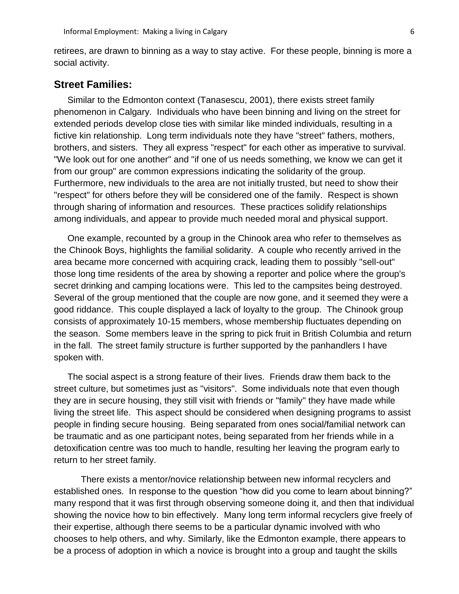retirees, are drawn to binning as a way to stay active. For these people, binning is more a social activity.

### <span id="page-10-0"></span>**Street Families:**

Similar to the Edmonton context (Tanasescu, 2001), there exists street family phenomenon in Calgary. Individuals who have been binning and living on the street for extended periods develop close ties with similar like minded individuals, resulting in a fictive kin relationship. Long term individuals note they have "street" fathers, mothers, brothers, and sisters. They all express "respect" for each other as imperative to survival. "We look out for one another" and "if one of us needs something, we know we can get it from our group" are common expressions indicating the solidarity of the group. Furthermore, new individuals to the area are not initially trusted, but need to show their "respect" for others before they will be considered one of the family. Respect is shown through sharing of information and resources. These practices solidify relationships among individuals, and appear to provide much needed moral and physical support.

One example, recounted by a group in the Chinook area who refer to themselves as the Chinook Boys, highlights the familial solidarity. A couple who recently arrived in the area became more concerned with acquiring crack, leading them to possibly "sell-out" those long time residents of the area by showing a reporter and police where the group's secret drinking and camping locations were. This led to the campsites being destroyed. Several of the group mentioned that the couple are now gone, and it seemed they were a good riddance. This couple displayed a lack of loyalty to the group. The Chinook group consists of approximately 10-15 members, whose membership fluctuates depending on the season. Some members leave in the spring to pick fruit in British Columbia and return in the fall. The street family structure is further supported by the panhandlers I have spoken with.

The social aspect is a strong feature of their lives. Friends draw them back to the street culture, but sometimes just as "visitors". Some individuals note that even though they are in secure housing, they still visit with friends or "family" they have made while living the street life. This aspect should be considered when designing programs to assist people in finding secure housing. Being separated from ones social/familial network can be traumatic and as one participant notes, being separated from her friends while in a detoxification centre was too much to handle, resulting her leaving the program early to return to her street family.

There exists a mentor/novice relationship between new informal recyclers and established ones. In response to the question "how did you come to learn about binning?" many respond that it was first through observing someone doing it, and then that individual showing the novice how to bin effectively. Many long term informal recyclers give freely of their expertise, although there seems to be a particular dynamic involved with who chooses to help others, and why. Similarly, like the Edmonton example, there appears to be a process of adoption in which a novice is brought into a group and taught the skills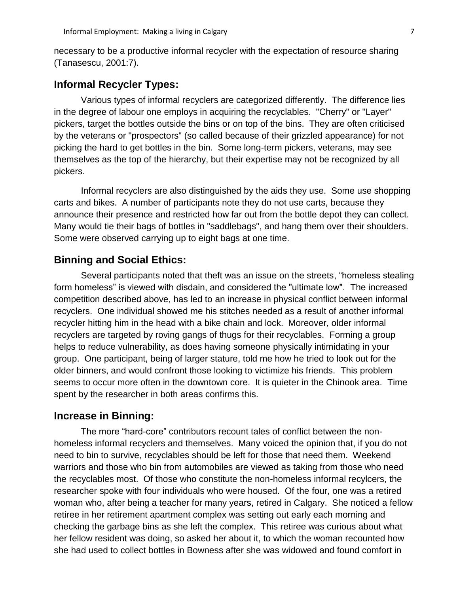necessary to be a productive informal recycler with the expectation of resource sharing (Tanasescu, 2001:7).

## <span id="page-11-0"></span>**Informal Recycler Types:**

Various types of informal recyclers are categorized differently. The difference lies in the degree of labour one employs in acquiring the recyclables. "Cherry" or "Layer" pickers, target the bottles outside the bins or on top of the bins. They are often criticised by the veterans or "prospectors" (so called because of their grizzled appearance) for not picking the hard to get bottles in the bin. Some long-term pickers, veterans, may see themselves as the top of the hierarchy, but their expertise may not be recognized by all pickers.

Informal recyclers are also distinguished by the aids they use. Some use shopping carts and bikes. A number of participants note they do not use carts, because they announce their presence and restricted how far out from the bottle depot they can collect. Many would tie their bags of bottles in "saddlebags", and hang them over their shoulders. Some were observed carrying up to eight bags at one time.

### <span id="page-11-1"></span>**Binning and Social Ethics:**

Several participants noted that theft was an issue on the streets, "homeless stealing form homeless" is viewed with disdain, and considered the "ultimate low". The increased competition described above, has led to an increase in physical conflict between informal recyclers. One individual showed me his stitches needed as a result of another informal recycler hitting him in the head with a bike chain and lock. Moreover, older informal recyclers are targeted by roving gangs of thugs for their recyclables. Forming a group helps to reduce vulnerability, as does having someone physically intimidating in your group. One participant, being of larger stature, told me how he tried to look out for the older binners, and would confront those looking to victimize his friends. This problem seems to occur more often in the downtown core. It is quieter in the Chinook area. Time spent by the researcher in both areas confirms this.

### <span id="page-11-2"></span>**Increase in Binning:**

The more "hard-core" contributors recount tales of conflict between the nonhomeless informal recyclers and themselves. Many voiced the opinion that, if you do not need to bin to survive, recyclables should be left for those that need them. Weekend warriors and those who bin from automobiles are viewed as taking from those who need the recyclables most. Of those who constitute the non-homeless informal recylcers, the researcher spoke with four individuals who were housed. Of the four, one was a retired woman who, after being a teacher for many years, retired in Calgary. She noticed a fellow retiree in her retirement apartment complex was setting out early each morning and checking the garbage bins as she left the complex. This retiree was curious about what her fellow resident was doing, so asked her about it, to which the woman recounted how she had used to collect bottles in Bowness after she was widowed and found comfort in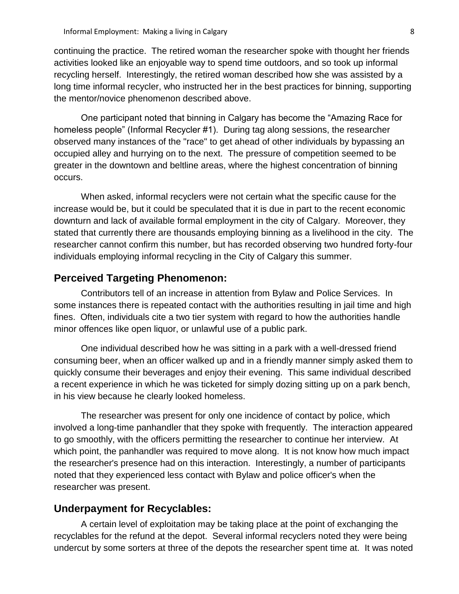continuing the practice. The retired woman the researcher spoke with thought her friends activities looked like an enjoyable way to spend time outdoors, and so took up informal recycling herself. Interestingly, the retired woman described how she was assisted by a long time informal recycler, who instructed her in the best practices for binning, supporting the mentor/novice phenomenon described above.

One participant noted that binning in Calgary has become the "Amazing Race for homeless people" (Informal Recycler #1). During tag along sessions, the researcher observed many instances of the "race" to get ahead of other individuals by bypassing an occupied alley and hurrying on to the next. The pressure of competition seemed to be greater in the downtown and beltline areas, where the highest concentration of binning occurs.

When asked, informal recyclers were not certain what the specific cause for the increase would be, but it could be speculated that it is due in part to the recent economic downturn and lack of available formal employment in the city of Calgary. Moreover, they stated that currently there are thousands employing binning as a livelihood in the city. The researcher cannot confirm this number, but has recorded observing two hundred forty-four individuals employing informal recycling in the City of Calgary this summer.

### <span id="page-12-0"></span>**Perceived Targeting Phenomenon:**

Contributors tell of an increase in attention from Bylaw and Police Services. In some instances there is repeated contact with the authorities resulting in jail time and high fines. Often, individuals cite a two tier system with regard to how the authorities handle minor offences like open liquor, or unlawful use of a public park.

One individual described how he was sitting in a park with a well-dressed friend consuming beer, when an officer walked up and in a friendly manner simply asked them to quickly consume their beverages and enjoy their evening. This same individual described a recent experience in which he was ticketed for simply dozing sitting up on a park bench, in his view because he clearly looked homeless.

The researcher was present for only one incidence of contact by police, which involved a long-time panhandler that they spoke with frequently. The interaction appeared to go smoothly, with the officers permitting the researcher to continue her interview. At which point, the panhandler was required to move along. It is not know how much impact the researcher's presence had on this interaction. Interestingly, a number of participants noted that they experienced less contact with Bylaw and police officer's when the researcher was present.

# <span id="page-12-1"></span>**Underpayment for Recyclables:**

A certain level of exploitation may be taking place at the point of exchanging the recyclables for the refund at the depot. Several informal recyclers noted they were being undercut by some sorters at three of the depots the researcher spent time at. It was noted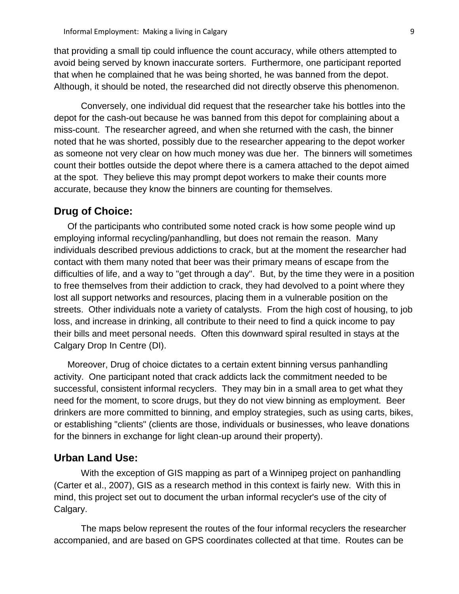that providing a small tip could influence the count accuracy, while others attempted to avoid being served by known inaccurate sorters. Furthermore, one participant reported that when he complained that he was being shorted, he was banned from the depot. Although, it should be noted, the researched did not directly observe this phenomenon.

Conversely, one individual did request that the researcher take his bottles into the depot for the cash-out because he was banned from this depot for complaining about a miss-count. The researcher agreed, and when she returned with the cash, the binner noted that he was shorted, possibly due to the researcher appearing to the depot worker as someone not very clear on how much money was due her. The binners will sometimes count their bottles outside the depot where there is a camera attached to the depot aimed at the spot. They believe this may prompt depot workers to make their counts more accurate, because they know the binners are counting for themselves.

## <span id="page-13-0"></span>**Drug of Choice:**

Of the participants who contributed some noted crack is how some people wind up employing informal recycling/panhandling, but does not remain the reason. Many individuals described previous addictions to crack, but at the moment the researcher had contact with them many noted that beer was their primary means of escape from the difficulties of life, and a way to "get through a day". But, by the time they were in a position to free themselves from their addiction to crack, they had devolved to a point where they lost all support networks and resources, placing them in a vulnerable position on the streets. Other individuals note a variety of catalysts. From the high cost of housing, to job loss, and increase in drinking, all contribute to their need to find a quick income to pay their bills and meet personal needs. Often this downward spiral resulted in stays at the Calgary Drop In Centre (DI).

Moreover, Drug of choice dictates to a certain extent binning versus panhandling activity. One participant noted that crack addicts lack the commitment needed to be successful, consistent informal recyclers. They may bin in a small area to get what they need for the moment, to score drugs, but they do not view binning as employment. Beer drinkers are more committed to binning, and employ strategies, such as using carts, bikes, or establishing "clients" (clients are those, individuals or businesses, who leave donations for the binners in exchange for light clean-up around their property).

### <span id="page-13-1"></span>**Urban Land Use:**

With the exception of GIS mapping as part of a Winnipeg project on panhandling (Carter et al., 2007), GIS as a research method in this context is fairly new. With this in mind, this project set out to document the urban informal recycler's use of the city of Calgary.

The maps below represent the routes of the four informal recyclers the researcher accompanied, and are based on GPS coordinates collected at that time. Routes can be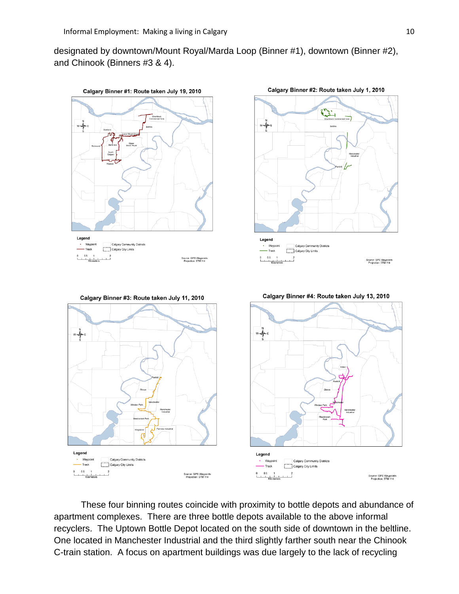designated by downtown/Mount Royal/Marda Loop (Binner #1), downtown (Binner #2), and Chinook (Binners #3 & 4).



These four binning routes coincide with proximity to bottle depots and abundance of apartment complexes. There are three bottle depots available to the above informal recyclers. The Uptown Bottle Depot located on the south side of downtown in the beltline. One located in Manchester Industrial and the third slightly farther south near the Chinook C-train station. A focus on apartment buildings was due largely to the lack of recycling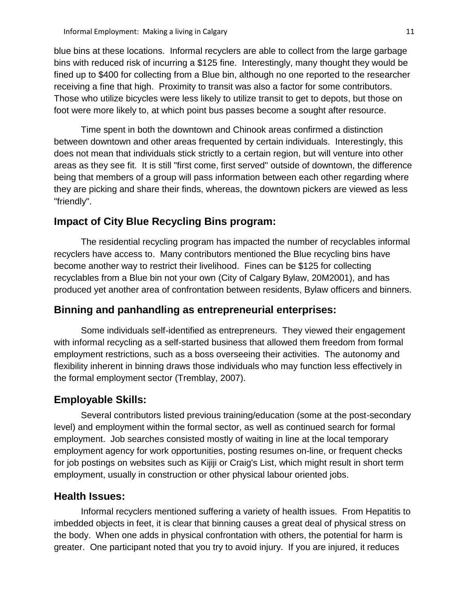blue bins at these locations. Informal recyclers are able to collect from the large garbage bins with reduced risk of incurring a \$125 fine. Interestingly, many thought they would be fined up to \$400 for collecting from a Blue bin, although no one reported to the researcher receiving a fine that high. Proximity to transit was also a factor for some contributors. Those who utilize bicycles were less likely to utilize transit to get to depots, but those on foot were more likely to, at which point bus passes become a sought after resource.

Time spent in both the downtown and Chinook areas confirmed a distinction between downtown and other areas frequented by certain individuals. Interestingly, this does not mean that individuals stick strictly to a certain region, but will venture into other areas as they see fit. It is still "first come, first served" outside of downtown, the difference being that members of a group will pass information between each other regarding where they are picking and share their finds, whereas, the downtown pickers are viewed as less "friendly".

# <span id="page-15-0"></span>**Impact of City Blue Recycling Bins program:**

The residential recycling program has impacted the number of recyclables informal recyclers have access to. Many contributors mentioned the Blue recycling bins have become another way to restrict their livelihood. Fines can be \$125 for collecting recyclables from a Blue bin not your own (City of Calgary Bylaw, 20M2001), and has produced yet another area of confrontation between residents, Bylaw officers and binners.

# <span id="page-15-1"></span>**Binning and panhandling as entrepreneurial enterprises:**

Some individuals self-identified as entrepreneurs. They viewed their engagement with informal recycling as a self-started business that allowed them freedom from formal employment restrictions, such as a boss overseeing their activities. The autonomy and flexibility inherent in binning draws those individuals who may function less effectively in the formal employment sector (Tremblay, 2007).

# <span id="page-15-2"></span>**Employable Skills:**

Several contributors listed previous training/education (some at the post-secondary level) and employment within the formal sector, as well as continued search for formal employment. Job searches consisted mostly of waiting in line at the local temporary employment agency for work opportunities, posting resumes on-line, or frequent checks for job postings on websites such as Kijiji or Craig's List, which might result in short term employment, usually in construction or other physical labour oriented jobs.

## <span id="page-15-3"></span>**Health Issues:**

Informal recyclers mentioned suffering a variety of health issues. From Hepatitis to imbedded objects in feet, it is clear that binning causes a great deal of physical stress on the body. When one adds in physical confrontation with others, the potential for harm is greater. One participant noted that you try to avoid injury. If you are injured, it reduces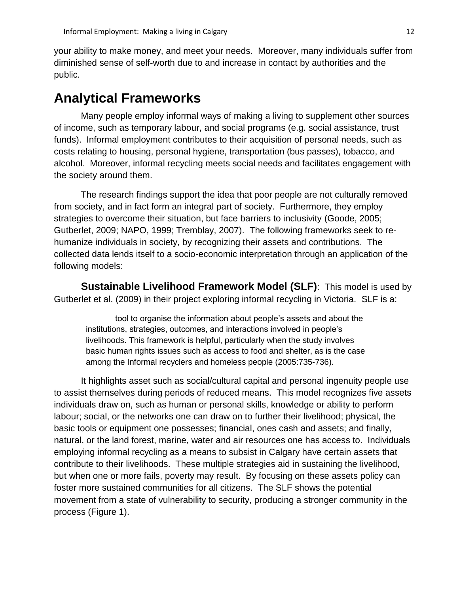your ability to make money, and meet your needs. Moreover, many individuals suffer from diminished sense of self-worth due to and increase in contact by authorities and the public.

# <span id="page-16-0"></span>**Analytical Frameworks**

Many people employ informal ways of making a living to supplement other sources of income, such as temporary labour, and social programs (e.g. social assistance, trust funds). Informal employment contributes to their acquisition of personal needs, such as costs relating to housing, personal hygiene, transportation (bus passes), tobacco, and alcohol. Moreover, informal recycling meets social needs and facilitates engagement with the society around them.

The research findings support the idea that poor people are not culturally removed from society, and in fact form an integral part of society. Furthermore, they employ strategies to overcome their situation, but face barriers to inclusivity (Goode, 2005; Gutberlet, 2009; NAPO, 1999; Tremblay, 2007). The following frameworks seek to rehumanize individuals in society, by recognizing their assets and contributions. The collected data lends itself to a socio-economic interpretation through an application of the following models:

<span id="page-16-1"></span>**Sustainable Livelihood Framework Model (SLF)**: This model is used by Gutberlet et al. (2009) in their project exploring informal recycling in Victoria. SLF is a:

tool to organise the information about people"s assets and about the institutions, strategies, outcomes, and interactions involved in people"s livelihoods. This framework is helpful, particularly when the study involves basic human rights issues such as access to food and shelter, as is the case among the Informal recyclers and homeless people (2005:735-736).

It highlights asset such as social/cultural capital and personal ingenuity people use to assist themselves during periods of reduced means. This model recognizes five assets individuals draw on, such as human or personal skills, knowledge or ability to perform labour; social, or the networks one can draw on to further their livelihood; physical, the basic tools or equipment one possesses; financial, ones cash and assets; and finally, natural, or the land forest, marine, water and air resources one has access to. Individuals employing informal recycling as a means to subsist in Calgary have certain assets that contribute to their livelihoods. These multiple strategies aid in sustaining the livelihood, but when one or more fails, poverty may result. By focusing on these assets policy can foster more sustained communities for all citizens. The SLF shows the potential movement from a state of vulnerability to security, producing a stronger community in the process (Figure 1).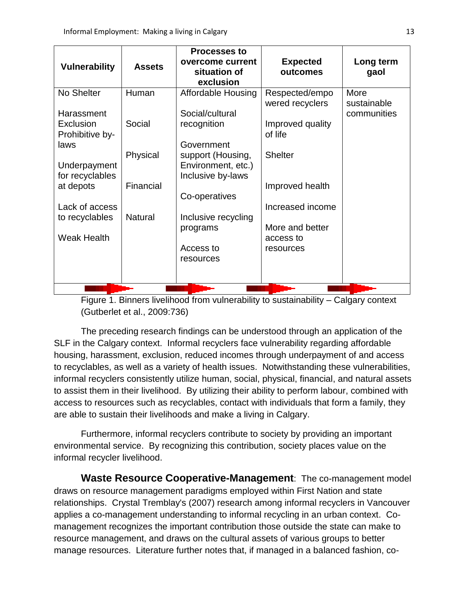| <b>Vulnerability</b>                       | <b>Assets</b>  | <b>Processes to</b><br>overcome current<br>situation of<br>exclusion       | <b>Expected</b><br>outcomes                    | Long term<br>gaol          |
|--------------------------------------------|----------------|----------------------------------------------------------------------------|------------------------------------------------|----------------------------|
| No Shelter                                 | Human          | <b>Affordable Housing</b>                                                  | Respected/empo                                 | More                       |
| Harassment<br>Exclusion<br>Prohibitive by- | Social         | Social/cultural<br>recognition                                             | wered recyclers<br>Improved quality<br>of life | sustainable<br>communities |
| laws<br>Underpayment<br>for recyclables    | Physical       | Government<br>support (Housing,<br>Environment, etc.)<br>Inclusive by-laws | <b>Shelter</b>                                 |                            |
| at depots                                  | Financial      | Co-operatives                                                              | Improved health                                |                            |
| Lack of access<br>to recyclables           | <b>Natural</b> | Inclusive recycling                                                        | Increased income                               |                            |
| <b>Weak Health</b>                         |                | programs                                                                   | More and better<br>access to                   |                            |
|                                            |                | Access to<br>resources                                                     | resources                                      |                            |
|                                            |                |                                                                            |                                                |                            |

Figure 1. Binners livelihood from vulnerability to sustainability – Calgary context (Gutberlet et al., 2009:736)

The preceding research findings can be understood through an application of the SLF in the Calgary context. Informal recyclers face vulnerability regarding affordable housing, harassment, exclusion, reduced incomes through underpayment of and access to recyclables, as well as a variety of health issues. Notwithstanding these vulnerabilities, informal recyclers consistently utilize human, social, physical, financial, and natural assets to assist them in their livelihood. By utilizing their ability to perform labour, combined with access to resources such as recyclables, contact with individuals that form a family, they are able to sustain their livelihoods and make a living in Calgary.

Furthermore, informal recyclers contribute to society by providing an important environmental service. By recognizing this contribution, society places value on the informal recycler livelihood.

<span id="page-17-0"></span>**Waste Resource Cooperative-Management**: The co-management model draws on resource management paradigms employed within First Nation and state relationships. Crystal Tremblay's (2007) research among informal recyclers in Vancouver applies a co-management understanding to informal recycling in an urban context. Comanagement recognizes the important contribution those outside the state can make to resource management, and draws on the cultural assets of various groups to better manage resources. Literature further notes that, if managed in a balanced fashion, co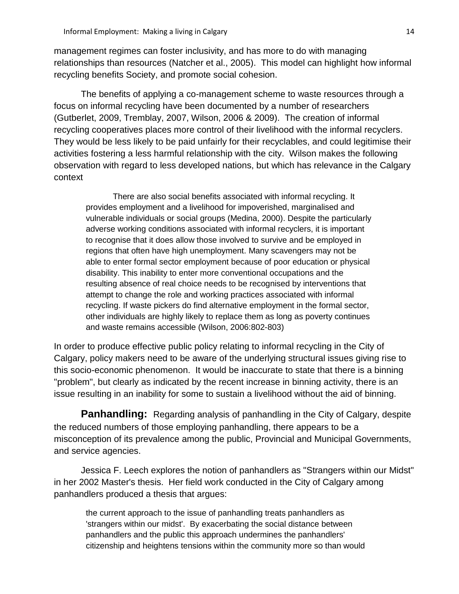management regimes can foster inclusivity, and has more to do with managing relationships than resources (Natcher et al., 2005). This model can highlight how informal recycling benefits Society, and promote social cohesion.

The benefits of applying a co-management scheme to waste resources through a focus on informal recycling have been documented by a number of researchers (Gutberlet, 2009, Tremblay, 2007, Wilson, 2006 & 2009). The creation of informal recycling cooperatives places more control of their livelihood with the informal recyclers. They would be less likely to be paid unfairly for their recyclables, and could legitimise their activities fostering a less harmful relationship with the city. Wilson makes the following observation with regard to less developed nations, but which has relevance in the Calgary context

There are also social benefits associated with informal recycling. It provides employment and a livelihood for impoverished, marginalised and vulnerable individuals or social groups (Medina, 2000). Despite the particularly adverse working conditions associated with informal recyclers, it is important to recognise that it does allow those involved to survive and be employed in regions that often have high unemployment. Many scavengers may not be able to enter formal sector employment because of poor education or physical disability. This inability to enter more conventional occupations and the resulting absence of real choice needs to be recognised by interventions that attempt to change the role and working practices associated with informal recycling. If waste pickers do find alternative employment in the formal sector, other individuals are highly likely to replace them as long as poverty continues and waste remains accessible (Wilson, 2006:802-803)

In order to produce effective public policy relating to informal recycling in the City of Calgary, policy makers need to be aware of the underlying structural issues giving rise to this socio-economic phenomenon. It would be inaccurate to state that there is a binning "problem", but clearly as indicated by the recent increase in binning activity, there is an issue resulting in an inability for some to sustain a livelihood without the aid of binning.

**Panhandling:** Regarding analysis of panhandling in the City of Calgary, despite the reduced numbers of those employing panhandling, there appears to be a misconception of its prevalence among the public, Provincial and Municipal Governments, and service agencies.

Jessica F. Leech explores the notion of panhandlers as "Strangers within our Midst" in her 2002 Master's thesis. Her field work conducted in the City of Calgary among panhandlers produced a thesis that argues:

the current approach to the issue of panhandling treats panhandlers as 'strangers within our midst'. By exacerbating the social distance between panhandlers and the public this approach undermines the panhandlers' citizenship and heightens tensions within the community more so than would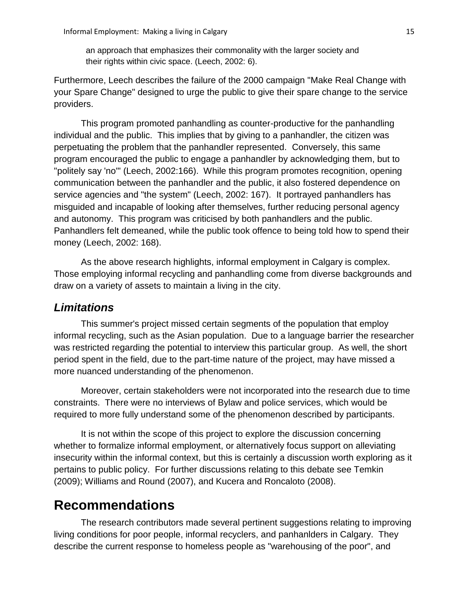an approach that emphasizes their commonality with the larger society and their rights within civic space. (Leech, 2002: 6).

Furthermore, Leech describes the failure of the 2000 campaign "Make Real Change with your Spare Change" designed to urge the public to give their spare change to the service providers.

This program promoted panhandling as counter-productive for the panhandling individual and the public. This implies that by giving to a panhandler, the citizen was perpetuating the problem that the panhandler represented. Conversely, this same program encouraged the public to engage a panhandler by acknowledging them, but to "politely say 'no'" (Leech, 2002:166). While this program promotes recognition, opening communication between the panhandler and the public, it also fostered dependence on service agencies and "the system" (Leech, 2002: 167). It portrayed panhandlers has misguided and incapable of looking after themselves, further reducing personal agency and autonomy. This program was criticised by both panhandlers and the public. Panhandlers felt demeaned, while the public took offence to being told how to spend their money (Leech, 2002: 168).

As the above research highlights, informal employment in Calgary is complex. Those employing informal recycling and panhandling come from diverse backgrounds and draw on a variety of assets to maintain a living in the city.

## <span id="page-19-0"></span>*Limitations*

This summer's project missed certain segments of the population that employ informal recycling, such as the Asian population. Due to a language barrier the researcher was restricted regarding the potential to interview this particular group. As well, the short period spent in the field, due to the part-time nature of the project, may have missed a more nuanced understanding of the phenomenon.

Moreover, certain stakeholders were not incorporated into the research due to time constraints. There were no interviews of Bylaw and police services, which would be required to more fully understand some of the phenomenon described by participants.

It is not within the scope of this project to explore the discussion concerning whether to formalize informal employment, or alternatively focus support on alleviating insecurity within the informal context, but this is certainly a discussion worth exploring as it pertains to public policy. For further discussions relating to this debate see Temkin (2009); Williams and Round (2007), and Kucera and Roncaloto (2008).

# <span id="page-19-1"></span>**Recommendations**

The research contributors made several pertinent suggestions relating to improving living conditions for poor people, informal recyclers, and panhanlders in Calgary. They describe the current response to homeless people as "warehousing of the poor", and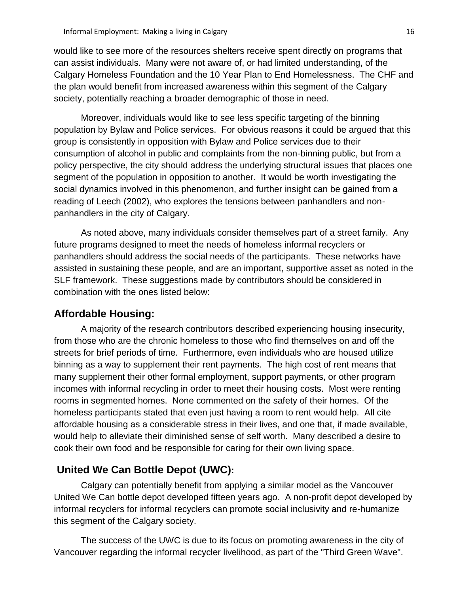would like to see more of the resources shelters receive spent directly on programs that can assist individuals. Many were not aware of, or had limited understanding, of the Calgary Homeless Foundation and the 10 Year Plan to End Homelessness. The CHF and the plan would benefit from increased awareness within this segment of the Calgary society, potentially reaching a broader demographic of those in need.

Moreover, individuals would like to see less specific targeting of the binning population by Bylaw and Police services. For obvious reasons it could be argued that this group is consistently in opposition with Bylaw and Police services due to their consumption of alcohol in public and complaints from the non-binning public, but from a policy perspective, the city should address the underlying structural issues that places one segment of the population in opposition to another. It would be worth investigating the social dynamics involved in this phenomenon, and further insight can be gained from a reading of Leech (2002), who explores the tensions between panhandlers and nonpanhandlers in the city of Calgary.

As noted above, many individuals consider themselves part of a street family. Any future programs designed to meet the needs of homeless informal recyclers or panhandlers should address the social needs of the participants. These networks have assisted in sustaining these people, and are an important, supportive asset as noted in the SLF framework. These suggestions made by contributors should be considered in combination with the ones listed below:

## <span id="page-20-0"></span>**Affordable Housing:**

A majority of the research contributors described experiencing housing insecurity, from those who are the chronic homeless to those who find themselves on and off the streets for brief periods of time. Furthermore, even individuals who are housed utilize binning as a way to supplement their rent payments. The high cost of rent means that many supplement their other formal employment, support payments, or other program incomes with informal recycling in order to meet their housing costs. Most were renting rooms in segmented homes. None commented on the safety of their homes. Of the homeless participants stated that even just having a room to rent would help. All cite affordable housing as a considerable stress in their lives, and one that, if made available, would help to alleviate their diminished sense of self worth. Many described a desire to cook their own food and be responsible for caring for their own living space.

# <span id="page-20-1"></span>**United We Can Bottle Depot (UWC):**

Calgary can potentially benefit from applying a similar model as the Vancouver United We Can bottle depot developed fifteen years ago. A non-profit depot developed by informal recyclers for informal recyclers can promote social inclusivity and re-humanize this segment of the Calgary society.

The success of the UWC is due to its focus on promoting awareness in the city of Vancouver regarding the informal recycler livelihood, as part of the "Third Green Wave".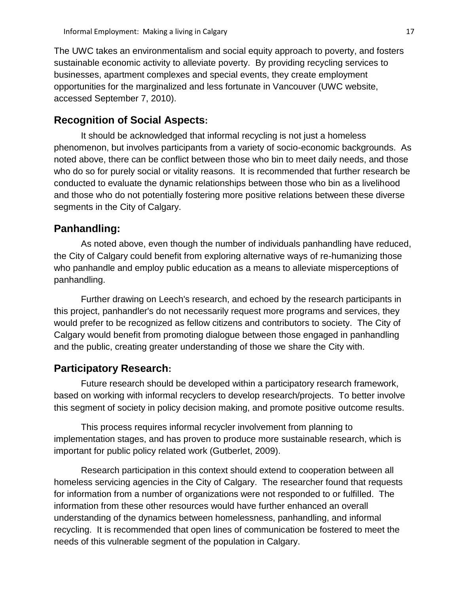The UWC takes an environmentalism and social equity approach to poverty, and fosters sustainable economic activity to alleviate poverty. By providing recycling services to businesses, apartment complexes and special events, they create employment opportunities for the marginalized and less fortunate in Vancouver (UWC website, accessed September 7, 2010).

## <span id="page-21-0"></span>**Recognition of Social Aspects:**

It should be acknowledged that informal recycling is not just a homeless phenomenon, but involves participants from a variety of socio-economic backgrounds. As noted above, there can be conflict between those who bin to meet daily needs, and those who do so for purely social or vitality reasons. It is recommended that further research be conducted to evaluate the dynamic relationships between those who bin as a livelihood and those who do not potentially fostering more positive relations between these diverse segments in the City of Calgary.

### <span id="page-21-1"></span>**Panhandling:**

As noted above, even though the number of individuals panhandling have reduced, the City of Calgary could benefit from exploring alternative ways of re-humanizing those who panhandle and employ public education as a means to alleviate misperceptions of panhandling.

Further drawing on Leech's research, and echoed by the research participants in this project, panhandler's do not necessarily request more programs and services, they would prefer to be recognized as fellow citizens and contributors to society. The City of Calgary would benefit from promoting dialogue between those engaged in panhandling and the public, creating greater understanding of those we share the City with.

# <span id="page-21-2"></span>**Participatory Research:**

Future research should be developed within a participatory research framework, based on working with informal recyclers to develop research/projects. To better involve this segment of society in policy decision making, and promote positive outcome results.

This process requires informal recycler involvement from planning to implementation stages, and has proven to produce more sustainable research, which is important for public policy related work (Gutberlet, 2009).

Research participation in this context should extend to cooperation between all homeless servicing agencies in the City of Calgary. The researcher found that requests for information from a number of organizations were not responded to or fulfilled. The information from these other resources would have further enhanced an overall understanding of the dynamics between homelessness, panhandling, and informal recycling. It is recommended that open lines of communication be fostered to meet the needs of this vulnerable segment of the population in Calgary.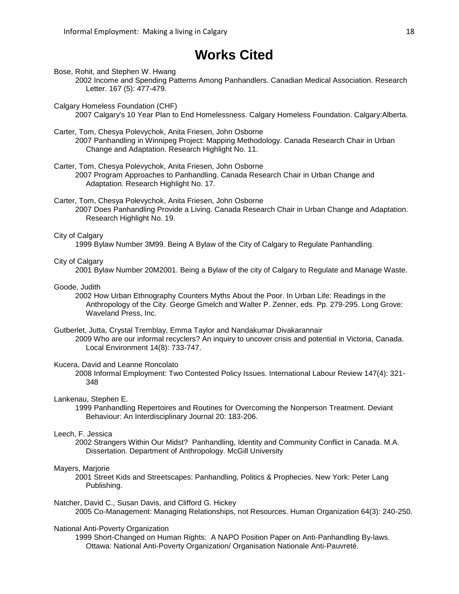# **Works Cited**

<span id="page-22-0"></span>Bose, Rohit, and Stephen W. Hwang

- 2002 Income and Spending Patterns Among Panhandlers. Canadian Medical Association. Research Letter. 167 (5): 477-479.
- Calgary Homeless Foundation (CHF) 2007 Calgary's 10 Year Plan to End Homelessness. Calgary Homeless Foundation. Calgary:Alberta.

Carter, Tom, Chesya Polevychok, Anita Friesen, John Osborne 2007 Panhandling in Winnipeg Project: Mapping Methodology. Canada Research Chair in Urban Change and Adaptation. Research Highlight No. 11.

#### Carter, Tom, Chesya Polevychok, Anita Friesen, John Osborne

2007 Program Approaches to Panhandling. Canada Research Chair in Urban Change and Adaptation. Research Highlight No. 17.

Carter, Tom, Chesya Polevychok, Anita Friesen, John Osborne

2007 Does Panhandling Provide a Living. Canada Research Chair in Urban Change and Adaptation. Research Highlight No. 19.

#### City of Calgary

1999 Bylaw Number 3M99. Being A Bylaw of the City of Calgary to Regulate Panhandling.

#### City of Calgary

2001 Bylaw Number 20M2001. Being a Bylaw of the city of Calgary to Regulate and Manage Waste.

#### Goode, Judith

2002 How Urban Ethnography Counters Myths About the Poor. In Urban Life: Readings in the Anthropology of the City. George Gmelch and Walter P. Zenner, eds. Pp. 279-295. Long Grove: Waveland Press, Inc.

Gutberlet, Jutta, Crystal Tremblay, Emma Taylor and Nandakumar Divakarannair 2009 Who are our informal recyclers? An inquiry to uncover crisis and potential in Victoria, Canada. Local Environment 14(8): 733-747.

#### Kucera, David and Leanne Roncolato

2008 Informal Employment: Two Contested Policy Issues. International Labour Review 147(4): 321- 348

#### Lankenau, Stephen E.

1999 Panhandling Repertoires and Routines for Overcoming the Nonperson Treatment. Deviant Behaviour: An Interdisciplinary Journal 20: 183-206.

#### Leech, F. Jessica

2002 Strangers Within Our Midst? Panhandling, Identity and Community Conflict in Canada. M.A. Dissertation. Department of Anthropology. McGill University

#### Mayers, Marjorie

2001 Street Kids and Streetscapes: Panhandling, Politics & Prophecies. New York: Peter Lang Publishing.

#### Natcher, David C., Susan Davis, and Clifford G. Hickey

2005 Co-Management: Managing Relationships, not Resources. Human Organization 64(3): 240-250.

### National Anti-Poverty Organization

1999 Short-Changed on Human Rights: A NAPO Position Paper on Anti-Panhandling By-laws. Ottawa: National Anti-Poverty Organization/ Organisation Nationale Anti-Pauvreté.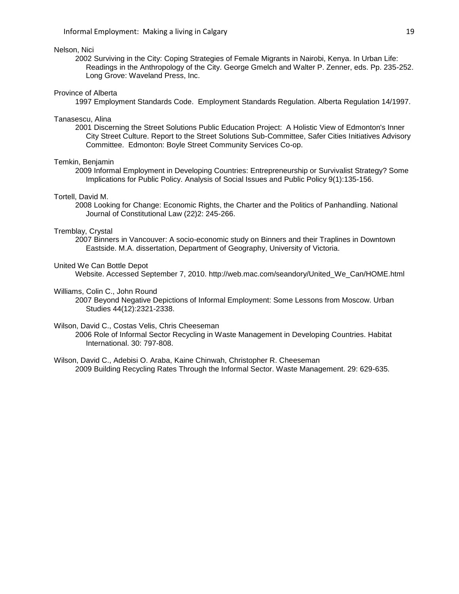### Nelson, Nici

2002 Surviving in the City: Coping Strategies of Female Migrants in Nairobi, Kenya. In Urban Life: Readings in the Anthropology of the City. George Gmelch and Walter P. Zenner, eds. Pp. 235-252. Long Grove: Waveland Press, Inc.

#### Province of Alberta

1997 Employment Standards Code. Employment Standards Regulation. Alberta Regulation 14/1997.

#### Tanasescu, Alina

2001 Discerning the Street Solutions Public Education Project: A Holistic View of Edmonton's Inner City Street Culture. Report to the Street Solutions Sub-Committee, Safer Cities Initiatives Advisory Committee. Edmonton: Boyle Street Community Services Co-op.

#### Temkin, Benjamin

2009 Informal Employment in Developing Countries: Entrepreneurship or Survivalist Strategy? Some Implications for Public Policy. Analysis of Social Issues and Public Policy 9(1):135-156.

#### Tortell, David M.

2008 Looking for Change: Economic Rights, the Charter and the Politics of Panhandling. National Journal of Constitutional Law (22)2: 245-266.

#### Tremblay, Crystal

2007 Binners in Vancouver: A socio-economic study on Binners and their Traplines in Downtown Eastside. M.A. dissertation, Department of Geography, University of Victoria.

#### United We Can Bottle Depot

Website. Accessed September 7, 2010. http://web.mac.com/seandory/United\_We\_Can/HOME.html

#### Williams, Colin C., John Round

2007 Beyond Negative Depictions of Informal Employment: Some Lessons from Moscow. Urban Studies 44(12):2321-2338.

#### Wilson, David C., Costas Velis, Chris Cheeseman

2006 Role of Informal Sector Recycling in Waste Management in Developing Countries. Habitat International. 30: 797-808.

Wilson, David C., Adebisi O. Araba, Kaine Chinwah, Christopher R. Cheeseman 2009 Building Recycling Rates Through the Informal Sector. Waste Management. 29: 629-635.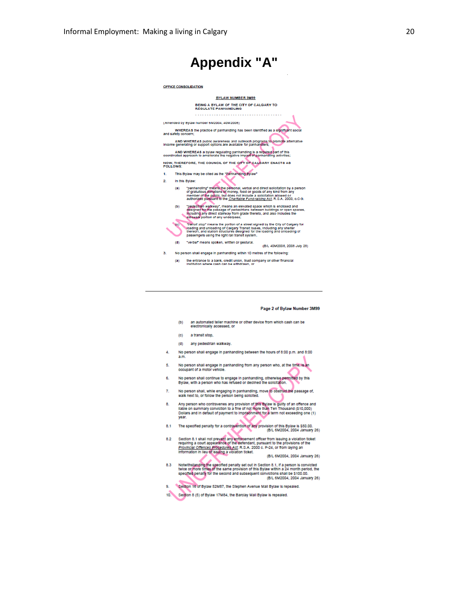<span id="page-24-0"></span>

#### Page 2 of Bylaw Number 3M99

- (b) an automated teller machine or other device from which cash can be<br>electronically accessed, or
- (c) a transit stop,
- (d) any pedestrian walkway.
- No person shall engage in panhandling between the hours of 8:00 p.m. and 8:00 4.  $a.m$
- 5. No person shall engage in panhandling from any person who, at the time, is an occupant of a motor vehicle.
- 6. No person shall continue to engage in panhandling, otherwise permitted by this<br>Bylaw, with a person who has refused or declined the solicitation.
- No person shall, while engaging in panhandling, move to obstruct the passage of,<br>walk next to, or follow the person being solicited.  $7.$
- Any person who contravenes any provision of this Bylaw is guilty of an offence and<br>liable on summary conviction to a fine of not more than Ten Thousand (\$10,000)<br>Dollars and in default of payment to imprisonment for a term 8. year.
- The specified penalty for a contravention of any provision of this Bylaw is \$50.00.<br>(B/L 6M2004, 2004 January 26)  $8.1$
- Section 8.1 shall not prevent any enforcement officer from Issuing a violation ticket<br>requiring a court appearance of the defendant, pursuant to the provisions of the<br>Provincial Offences Procedures Act; R.S.A. 2000 c. P-24  $8.2$ Information in lieu of issuing a violation ticket. (B/L 6M2004, 2004 January 26)
- Notwithstanding the specified penalty set out in Section 8.1, if a person is convicted<br>twice or more times of the same provision of this Bylaw within a 24 month period, the<br>specified penalty for the second and subsequent c 8.3
- 9. Section 16 of Bylaw 52M87, the Stephen Avenue Mail Bylaw is repealed.
- 10. Section 8 (5) of Bylaw 17M84, the Barclay Mall Bylaw is repealed.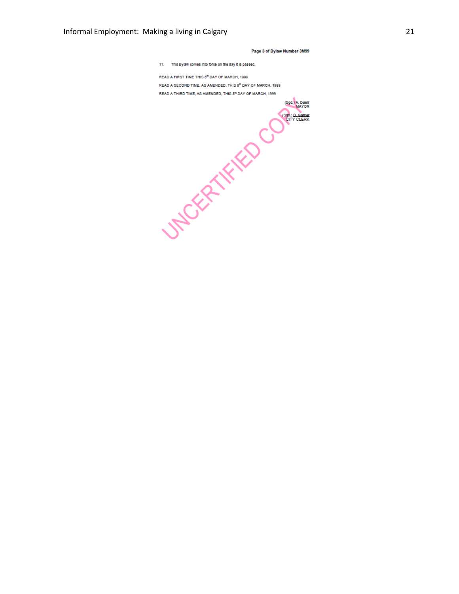#### Page 3 of Bylaw Number 3M99

11. This Bylaw comes into force on the day it is passed.

READ A FIRST TIME THIS 8<sup>th</sup> DAY OF MARCH, 1999 READ A SECOND TIME, AS AMENDED, THIS 8th DAY OF MARCH, 1999 READ A THIRD TIME, AS AMENDED, THIS 8<sup>th</sup> DAY OF MARCH, 1999

**SACRY THE CONSTRUCTION** (Sgd.) A.D.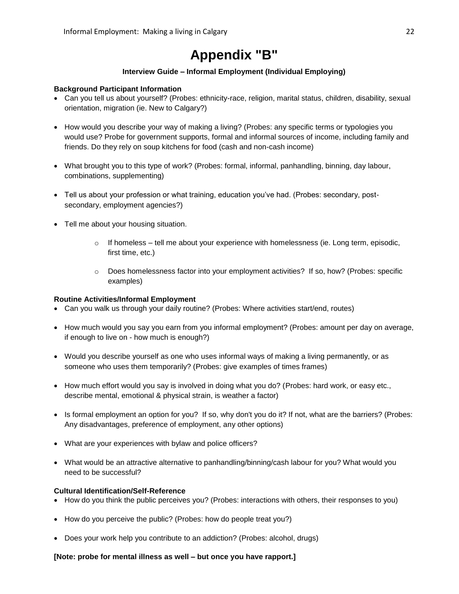# **Appendix "B"**

### **Interview Guide – Informal Employment (Individual Employing)**

### <span id="page-26-0"></span>**Background Participant Information**

- Can you tell us about yourself? (Probes: ethnicity-race, religion, marital status, children, disability, sexual orientation, migration (ie. New to Calgary?)
- How would you describe your way of making a living? (Probes: any specific terms or typologies you would use? Probe for government supports, formal and informal sources of income, including family and friends. Do they rely on soup kitchens for food (cash and non-cash income)
- What brought you to this type of work? (Probes: formal, informal, panhandling, binning, day labour, combinations, supplementing)
- Tell us about your profession or what training, education you've had. (Probes: secondary, postsecondary, employment agencies?)
- Tell me about your housing situation.
	- $\circ$  If homeless tell me about your experience with homelessness (ie. Long term, episodic, first time, etc.)
	- o Does homelessness factor into your employment activities? If so, how? (Probes: specific examples)

### **Routine Activities/Informal Employment**

- Can you walk us through your daily routine? (Probes: Where activities start/end, routes)
- How much would you say you earn from you informal employment? (Probes: amount per day on average, if enough to live on - how much is enough?)
- Would you describe yourself as one who uses informal ways of making a living permanently, or as someone who uses them temporarily? (Probes: give examples of times frames)
- How much effort would you say is involved in doing what you do? (Probes: hard work, or easy etc., describe mental, emotional & physical strain, is weather a factor)
- Is formal employment an option for you? If so, why don't you do it? If not, what are the barriers? (Probes: Any disadvantages, preference of employment, any other options)
- What are your experiences with bylaw and police officers?
- What would be an attractive alternative to panhandling/binning/cash labour for you? What would you need to be successful?

### **Cultural Identification/Self-Reference**

- How do you think the public perceives you? (Probes: interactions with others, their responses to you)
- How do you perceive the public? (Probes: how do people treat you?)
- Does your work help you contribute to an addiction? (Probes: alcohol, drugs)

### **[Note: probe for mental illness as well – but once you have rapport.]**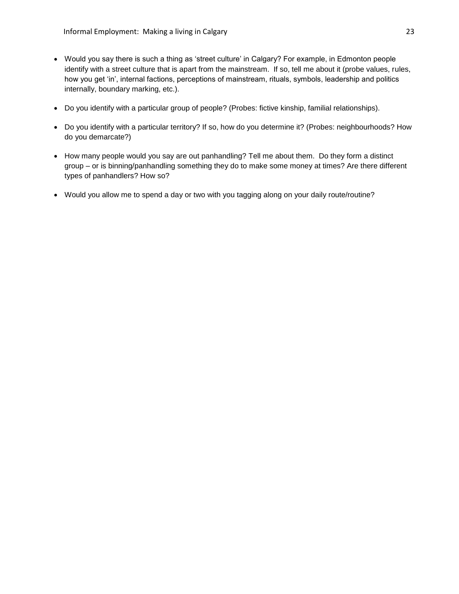- Would you say there is such a thing as "street culture" in Calgary? For example, in Edmonton people identify with a street culture that is apart from the mainstream. If so, tell me about it (probe values, rules, how you get "in", internal factions, perceptions of mainstream, rituals, symbols, leadership and politics internally, boundary marking, etc.).
- Do you identify with a particular group of people? (Probes: fictive kinship, familial relationships).
- Do you identify with a particular territory? If so, how do you determine it? (Probes: neighbourhoods? How do you demarcate?)
- How many people would you say are out panhandling? Tell me about them. Do they form a distinct group – or is binning/panhandling something they do to make some money at times? Are there different types of panhandlers? How so?
- Would you allow me to spend a day or two with you tagging along on your daily route/routine?